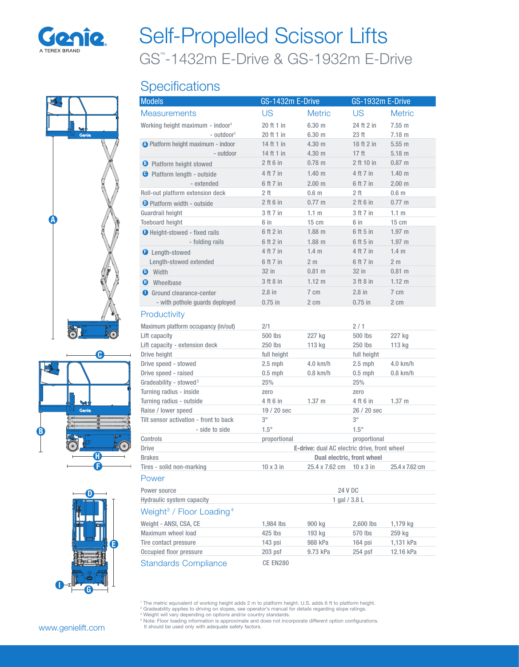

# GS™ -1432m E-Drive & GS-1932m E-Drive Self-Propelled Scissor Lifts

# **Specifications**







| <b>Models</b>                                            | GS-1432m E-Drive                                                           |                          | GS-1932m E-Drive           |                  |
|----------------------------------------------------------|----------------------------------------------------------------------------|--------------------------|----------------------------|------------------|
| <b>Measurements</b>                                      | US                                                                         | <b>Metric</b>            | US                         | <b>Metric</b>    |
| Working height maximum - indoor <sup>1</sup>             | 20 ft 1 in                                                                 | 6.30 m                   | 24 ft 2 in                 | 7.55 m           |
| - outdoor <sup>1</sup>                                   | 20 ft 1 in                                                                 | $6.30 \text{ m}$         | 23 ft                      | 7.18 m           |
| O Platform height maximum - indoor                       | 14 ft 1 in                                                                 | 4.30 m                   | 18 ft 2 in                 | 5.55 m           |
| - outdoor                                                | 14 ft 1 in                                                                 | 4.30 <sub>m</sub>        | 17 <sub>ft</sub>           | 5.18 m           |
| <b>B</b> Platform height stowed                          | $2$ ft 6 in                                                                | $0.78 \text{ m}$         | 2 ft 10 in                 | 0.87 m           |
| <b>O</b> Platform length - outside                       | 4 ft 7 in                                                                  | 1.40 <sub>m</sub>        | 4 ft 7 in                  | 1.40 m           |
| - extended                                               | 6 ft 7 in                                                                  | 2.00 <sub>m</sub>        | 6 ft 7 in                  | 2.00 m           |
| Roll-out platform extension deck                         | 2 ft                                                                       | 0.6 <sub>m</sub>         | 2 ft                       | 0.6 <sub>m</sub> |
| <b>O</b> Platform width - outside                        | $2$ ft 6 in                                                                | $0.77 \; m$              | $2$ ft $6$ in              | $0.77 \; m$      |
| Guardrail height                                         | 3 ft 7 in                                                                  | 1.1 <sub>m</sub>         | 3 ft 7 in                  | 1.1 <sub>m</sub> |
| <b>Toeboard height</b>                                   | 6 in                                                                       | $15 \text{ cm}$          | 6 in                       | $15 \text{ cm}$  |
| <b>O</b> Height-stowed - fixed rails                     | 6 ft 2 in                                                                  | $1.88$ m                 | 6 ft 5 in                  | $1.97$ m         |
| - folding rails                                          | 6 ft 2 in                                                                  | $1.88$ m                 | 6 ft 5 in                  | $1.97$ m         |
| <b>O</b> Length-stowed                                   | 4 ft 7 in                                                                  | 1.4 <sub>m</sub>         | 4 ft 7 in                  | 1.4 <sub>m</sub> |
| Length-stowed extended                                   | 6 ft 7 in                                                                  | 2 <sub>m</sub>           | 6 ft 7 in                  | 2 <sub>m</sub>   |
| <b>O</b> Width                                           | 32 in                                                                      | $0.81 \text{ m}$         | 32 in                      | $0.81 \; m$      |
| <b>C</b> Wheelbase                                       | 3 ft 8 in                                                                  | $1.12 \text{ m}$         | 3 ft 8 in                  | 1.12 m           |
| Ground clearance-center                                  | $2.8$ in                                                                   | $7 \text{ cm}$           | $2.8$ in                   | $7 \text{ cm}$   |
| - with pothole quards deployed                           | $0.75$ in                                                                  | 2 cm                     | $0.75$ in                  | $2 \text{ cm}$   |
| Productivity                                             |                                                                            |                          |                            |                  |
| Maximum platform occupancy (in/out)                      | 2/1                                                                        |                          | 2/1                        |                  |
| Lift capacity                                            | 500 lbs                                                                    | 227 kg                   | 500 lbs                    | 227 kg           |
| Lift capacity - extension deck                           | 250 lbs                                                                    | 113 kg                   | 250 lbs                    | 113 kg           |
| Drive height                                             | full height                                                                |                          | full height                |                  |
| Drive speed - stowed                                     | $2.5$ mph                                                                  | $4.0$ km/h               | $2.5$ mph                  | $4.0$ km/h       |
| Drive speed - raised                                     | $0.5$ mph                                                                  | $0.8$ km/h               | $0.5$ mph                  | $0.8$ km/h       |
| Gradeability - stowed <sup>2</sup>                       | 25%                                                                        |                          | 25%                        |                  |
| Turning radius - inside                                  | zero                                                                       |                          | zero                       |                  |
| Turning radius - outside                                 | 4 ft 6 in                                                                  | $1.37 \text{ m}$         | 4 ft 6 in                  | 1.37 m           |
| Raise / lower speed                                      | $19/20$ sec                                                                |                          | 26 / 20 sec                |                  |
| Tilt sensor activation - front to back<br>- side to side | $3^\circ$<br>$1.5^\circ$                                                   |                          | $3^{\circ}$<br>$1.5^\circ$ |                  |
| Controls                                                 | proportional                                                               |                          | proportional               |                  |
| <b>Drive</b>                                             |                                                                            |                          |                            |                  |
| <b>Brakes</b>                                            | E-drive: dual AC electric drive, front wheel<br>Dual electric, front wheel |                          |                            |                  |
| Tires - solid non-marking                                | $10 \times 3$ in                                                           | 25.4 x 7.62 cm 10 x 3 in |                            | 25.4 x 7.62 cm   |
| Power                                                    |                                                                            |                          |                            |                  |
| Power source                                             | <b>24 V DC</b>                                                             |                          |                            |                  |
| Hydraulic system capacity                                | 1 gal $/$ 3.8 L                                                            |                          |                            |                  |
| Weight <sup>3</sup> / Floor Loading <sup>4</sup>         |                                                                            |                          |                            |                  |
| Weight - ANSI, CSA, CE                                   | 1,984 lbs                                                                  | 900 kg                   | 2,600 lbs                  | 1,179 kg         |
| Maximum wheel load                                       | 425 lbs                                                                    | 193 kg                   | 570 lbs                    | 259 kg           |
| Tire contact pressure                                    | 143 psi                                                                    | 988 kPa                  | 164 psi                    | 1,131 kPa        |
| Occupied floor pressure                                  | $203$ psf                                                                  | 9.73 kPa                 | 254 psf                    | 12.16 kPa        |
| <b>Standards Compliance</b>                              | CE EN280                                                                   |                          |                            |                  |

<sup>1</sup> The metric equivalent of working height adds 2 m to platform height. U.S. adds 6 ft to platform height.<br>
<sup>2</sup> Gradeability applies to driving on slopes, see operator's manual for details regarding slope ratings.<br>
<sup>3</sup> W